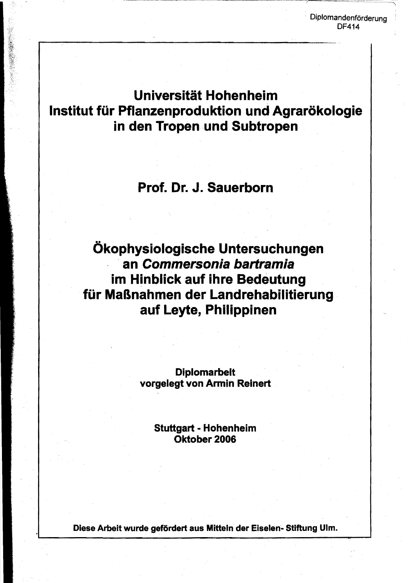Diplomandenförderung DF414

# Universität Hohenheim Institut für Pflanzenproduktion und Agrarökologie in den Tropen und Subtropen

## Prof. Dr. J. Sauerborn

Ökophysiologische Untersuchungen an Commersonia bartramia im Hinblick auf ihre Bedeutung für Maßnahmen der Landrehabilitierung auf Leyte, Philippinen

> Diplomarbeit vorgelegt von Armin Reinert

> > Stuttgart - Hohenhelm Oktober 2006

Diese Arbeit wurde gefördert aus Mitteln der Eiselen- Stiftung Ulm.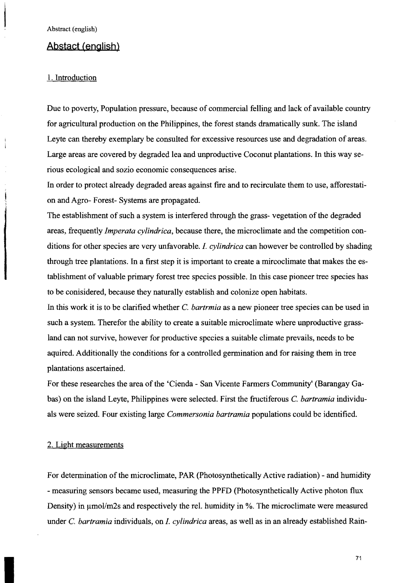### **Abstact (english)**

#### 1. Introduction

Due to poverty, Population pressure, because of commercial felling and lack of available country for agricultural production on the Philippines, the forest stands dramatically sunk. The island Leyte can thereby exemplary be consulted for excessive resources use and degradation of areas. Large areas are covered by degraded lea and unproductive Coconut plantations. In this way se rious ecological and sozio economic consequences arise.

In order to protect already degraded areas against fire and to recirculate them to use, afforestati on and Agro- Forest- Systems are propagated.

The establishment of such a system is interfered through the grass- vegetation of the degraded areas, frequently *Imperata cylindrica*, because there, the microclimate and the competition conditions for other species are very unfavorable. 1. *cylindrica* can however be controlled by shading through tree plantations. In a first step it is important to create a mircoclimate that makes the es tablishment of valuable primary forest tree species possible. In this case pioneer tree species has to be conisidered, because they naturally establish and colonize open habitats.

In this work it is to be clarified whether C. *bartrmia* as a new pioneer tree species can be used in such a system. Therefor the ability to create a suitable microclimate where unproductive grass land can not survive, however for productive species a suitable climate prevails, needs to be aquired. Additionally the conditions for a controlled germination and for raising them in tree plantations ascertained.

For these researches the area of the 'Cienda - San Vicente Farmers Community' (Barangay Gabas) on the island Leyte, Philippines were selected. First the fructiferous C. *bartramia* individu als were seized. Four existing large *Commersonia bartramia* populations could be identified.

#### 2. Light measurements

For determination of the microclimate, PAR (Photosynthetically Active radiation) - and humidity - measuring sensors became used, measuring the PPFD (Photosynthetically Active photon flux Density) in  $\mu$ mol/m2s and respectively the rel. humidity in %. The microclimate were measured under C. *bartramia* individuals, on 1. *cylindrica* areas, as well as in an already established Rain-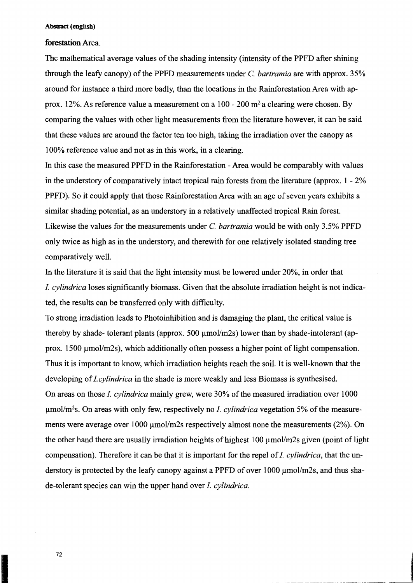#### Abstract (english)

#### **forestation** Area.

The mathematical average values of the shading intensity (intensity of the PPFD after shining through the leafy canopy) of the PPFD measurements under C, *bartramia* are with approx. 35% around for instance a third more badly, than the locations in the Rainforestation Area with approx. 12%. As reference value a measurement on a 100 - 200  $m<sup>2</sup>$  a clearing were chosen. By comparing the values with other light measurements from the literature however, it can be said that these values are around the factor ten too high, taking the irradiation over the canopy as 100% reference value and not as in this work, in a clearing.

In this case the measured PPFD in the Rainforestation - Area would be comparably with values in the understory of comparatively intact tropical rain forests from the literature (approx. 1 - 2% PPFD). So it could apply that those Rainforestation Area with an age of seven years exhibits a similar shading potential, as an understory in a relatively unaffected tropical Rain forest. Likewise the values for the measurements under C. *bartramia* would be with only 3.5% PPFD only twice as high as in the understory, and therewith for one relatively isolated standing tree comparatively well.

In the literature it is said that the light intensity must be lowered under 20%, in order that *1. cylindrica* loses significantly biomass. Given that the absolute irradiation height is not indica ted, the results can be transferred only with difficulty.

To strong irradiation leads to Photoinhibition and is damaging the plant, the critical value is thereby by shade- tolerant plants (approx. 500  $\mu$ mol/m2s) lower than by shade-intolerant (approx. 1500  $\mu$ mol/m2s), which additionally often possess a higher point of light compensation. Thus it is important to know, which irradiation heights reach the soil. It is well-known that the developing of*1.cylindrica* in the shade is more weakly and less Biomass is synthesised. On areas on those 1. *cylindrica* mainly grew, were 30% ofthe measured irradiation over 1000  $\mu$ mol/m<sup>2</sup>s. On areas with only few, respectively no *I. cylindrica* vegetation 5% of the measurements were average over  $1000 \mu m$ ol/m2s respectively almost none the measurements (2%). On the other hand there are usually irradiation heights of highest  $100 \mu \text{mol/m2s}$  given (point of light compensation). Therefore it can be that it is important for the repel of *I. cylindrica*, that the understory is protected by the leafy canopy against a PPFD of over 1000  $\mu$ mol/m2s, and thus shade-tolerant species can win the upper hand over 1. *cylindrica.*